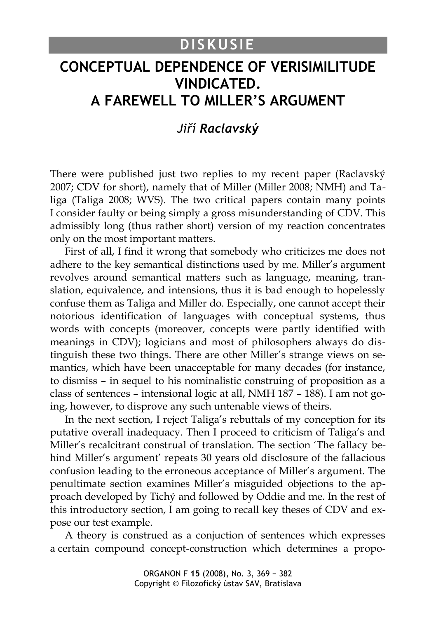## **DISKUSIE**

# **CONCEPTUAL DEPENDENCE OF VERISIMILITUDE VINDICATED. A FAREWELL TO MILLER'S ARGUMENT**

### *Jiří Raclavský*

There were published just two replies to my recent paper (Raclavský 2007; CDV for short), namely that of Miller (Miller 2008; NMH) and Taliga (Taliga 2008; WVS). The two critical papers contain many points I consider faulty or being simply a gross misunderstanding of CDV. This admissibly long (thus rather short) version of my reaction concentrates only on the most important matters.

First of all, I find it wrong that somebody who criticizes me does not adhere to the key semantical distinctions used by me. Miller's argument revolves around semantical matters such as language, meaning, translation, equivalence, and intensions, thus it is bad enough to hopelessly confuse them as Taliga and Miller do. Especially, one cannot accept their notorious identification of languages with conceptual systems, thus words with concepts (moreover, concepts were partly identified with meanings in CDV); logicians and most of philosophers always do distinguish these two things. There are other Miller's strange views on semantics, which have been unacceptable for many decades (for instance, to dismiss – in sequel to his nominalistic construing of proposition as a class of sentences – intensional logic at all, NMH 187 – 188). I am not going, however, to disprove any such untenable views of theirs.

In the next section, I reject Taliga's rebuttals of my conception for its putative overall inadequacy. Then I proceed to criticism of Taliga's and Miller's recalcitrant construal of translation. The section 'The fallacy behind Miller's argument' repeats 30 years old disclosure of the fallacious confusion leading to the erroneous acceptance of Miller's argument. The penultimate section examines Miller's misguided objections to the approach developed by Tichý and followed by Oddie and me. In the rest of this introductory section, I am going to recall key theses of CDV and expose our test example.

A theory is construed as a conjuction of sentences which expresses a certain compound concept-construction which determines a propo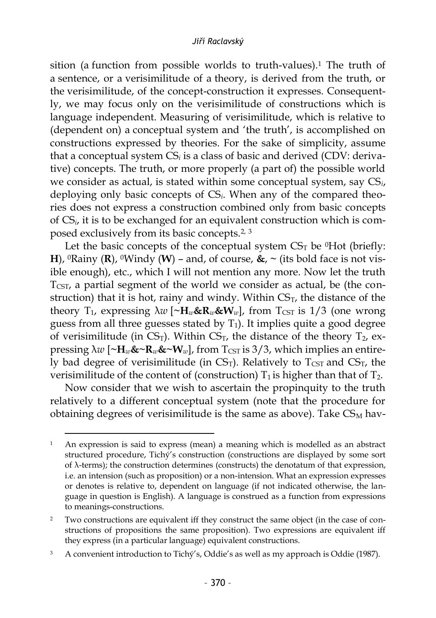sition (a function from possible worlds to truth-values).<sup>1</sup> The truth of a sentence, or a verisimilitude of a theory, is derived from the truth, or the verisimilitude, of the concept-construction it expresses. Consequently, we may focus only on the verisimilitude of constructions which is language independent. Measuring of verisimilitude, which is relative to (dependent on) a conceptual system and 'the truth', is accomplished on constructions expressed by theories. For the sake of simplicity, assume that a conceptual system CS*<sup>i</sup>* is a class of basic and derived (CDV: derivative) concepts. The truth, or more properly (a part of) the possible world we consider as actual, is stated within some conceptual system, say CS*i*, deploying only basic concepts of CS*i*. When any of the compared theories does not express a construction combined only from basic concepts of CS*i*, it is to be exchanged for an equivalent construction which is composed exclusively from its basic concepts.2, <sup>3</sup>

Let the basic concepts of the conceptual system  $CS<sub>T</sub>$  be  $^0$ Hot (briefly: **H**),  ${}^0$ Rainy (**R**),  ${}^0$ Windy (**W**) – and, of course,  $\⊂>$ ,  $\sim$  (its bold face is not visible enough), etc., which I will not mention any more. Now let the truth  $T_{\text{CST}}$ , a partial segment of the world we consider as actual, be (the construction) that it is hot, rainy and windy. Within  $CS<sub>T</sub>$ , the distance of the theory  $T_1$ , expressing  $\lambda w$  [ $\sim$ H<sub>*w*</sub>&R<sub>*w*</sub>&W<sub>*w*</sub>], from  $T_{\text{CST}}$  is 1/3 (one wrong guess from all three guesses stated by  $T_1$ ). It implies quite a good degree of verisimilitude (in  $CS_T$ ). Within  $CS_T$ , the distance of the theory  $T_2$ , expressing  $\lambda w$  [ $\sim$ H<sub>*w*</sub>& $\sim$ R<sub>*w*</sub>& $\sim$ W<sub>*w*</sub>], from T<sub>CST</sub> is 3/3, which implies an entirely bad degree of verisimilitude (in  $CS_T$ ). Relatively to  $T_{CST}$  and  $CS_T$ , the verisimilitude of the content of (construction)  $T_1$  is higher than that of  $T_2$ .

Now consider that we wish to ascertain the propinquity to the truth relatively to a different conceptual system (note that the procedure for obtaining degrees of verisimilitude is the same as above). Take  $CS<sub>M</sub>$  hav-

<sup>1</sup> An expression is said to express (mean) a meaning which is modelled as an abstract structured procedure, Tichý's construction (constructions are displayed by some sort of λ-terms); the construction determines (constructs) the denotatum of that expression, i.e. an intension (such as proposition) or a non-intension. What an expression expresses or denotes is relative to, dependent on language (if not indicated otherwise, the language in question is English). A language is construed as a function from expressions to meanings-constructions.

<sup>2</sup> Two constructions are equivalent iff they construct the same object (in the case of constructions of propositions the same proposition). Two expressions are equivalent iff they express (in a particular language) equivalent constructions.

<sup>&</sup>lt;sup>3</sup> A convenient introduction to Tichý's, Oddie's as well as my approach is Oddie (1987).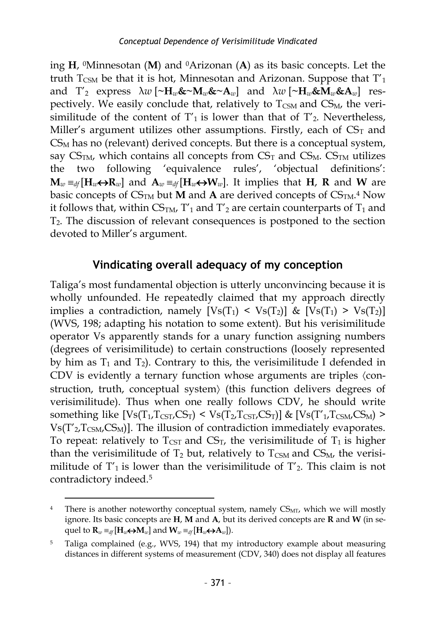ing **H**, <sup>0</sup>Minnesotan (**M**) and 0Arizonan (**A**) as its basic concepts. Let the truth  $T_{CSM}$  be that it is hot, Minnesotan and Arizonan. Suppose that  $T_1$ and  $T'_2$  express  $\lambda w$  [~ $H_w$ &~ $M_w$ &~ $A_w$ ] and  $\lambda w$  [~ $H_w$ & $M_w$ & $A_w$ ] respectively. We easily conclude that, relatively to  $T_{\text{CSM}}$  and  $CS_M$ , the verisimilitude of the content of  $T_1$  is lower than that of  $T_2$ . Nevertheless, Miller's argument utilizes other assumptions. Firstly, each of  $CS<sub>T</sub>$  and  $CS<sub>M</sub>$  has no (relevant) derived concepts. But there is a conceptual system, say  $CS<sub>TM</sub>$ , which contains all concepts from  $CS<sub>T</sub>$  and  $CS<sub>M</sub>$ .  $CS<sub>TM</sub>$  utilizes the two following 'equivalence rules', 'objectual definitions':  $\mathbf{M}_w =_{df}[\mathbf{H}_w \leftrightarrow \mathbf{R}_w]$  and  $\mathbf{A}_w =_{df}[\mathbf{H}_w \leftrightarrow \mathbf{W}_w]$ . It implies that **H**, **R** and **W** are basic concepts of  $CS_{TM}$  but **M** and **A** are derived concepts of  $CS_{TM}.$ <sup>4</sup> Now it follows that, within  $CS<sub>TM</sub>$ , T'<sub>1</sub> and T'<sub>2</sub> are certain counterparts of T<sub>1</sub> and T2. The discussion of relevant consequences is postponed to the section devoted to Miller's argument.

### **Vindicating overall adequacy of my conception**

Taliga's most fundamental objection is utterly unconvincing because it is wholly unfounded. He repeatedly claimed that my approach directly implies a contradiction, namely  $[Vs(T_1) < VS(T_2)]$  &  $[Vs(T_1) > Vs(T_2)]$ (WVS, 198; adapting his notation to some extent). But his verisimilitude operator Vs apparently stands for a unary function assigning numbers (degrees of verisimilitude) to certain constructions (loosely represented by him as  $T_1$  and  $T_2$ ). Contrary to this, the verisimilitude I defended in CDV is evidently a ternary function whose arguments are triples  $\langle$ construction, truth, conceptual system) (this function delivers degrees of verisimilitude). Thus when one really follows CDV, he should write something like  $[Vs(T_1, T_{\text{CST}}/CS_T) < Vs(T_2, T_{\text{CST}}/CS_T)]$  &  $[Vs(T'_1, T_{\text{CSM}}/CS_M) >$  $Vs(T'_{2},T_{CSM},CS_M)$ ]. The illusion of contradiction immediately evaporates. To repeat: relatively to  $T_{\text{CST}}$  and  $\text{CS}_T$ , the verisimilitude of  $T_1$  is higher than the verisimilitude of  $T_2$  but, relatively to  $T_{CSM}$  and  $CS_M$ , the verisimilitude of  $T_1$  is lower than the verisimilitude of  $T_2$ . This claim is not contradictory indeed.<sup>5</sup>

<sup>&</sup>lt;sup>4</sup> There is another noteworthy conceptual system, namely  $CS<sub>MT</sub>$ , which we will mostly ignore. Its basic concepts are **H**, **M** and **A**, but its derived concepts are **R** and **W** (in sequel to  $\mathbf{R}_w \equiv_{df} [\mathbf{H}_w \leftrightarrow \mathbf{M}_w]$  and  $\mathbf{W}_w \equiv_{df} [\mathbf{H}_w \leftrightarrow \mathbf{A}_w]$ .

<sup>5</sup> Taliga complained (e.g., WVS, 194) that my introductory example about measuring distances in different systems of measurement (CDV, 340) does not display all features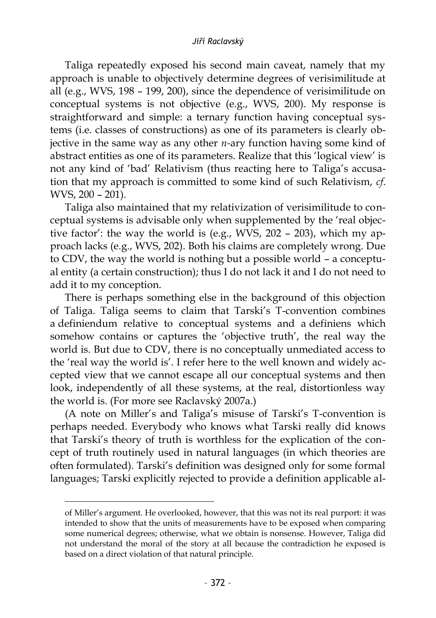Taliga repeatedly exposed his second main caveat, namely that my approach is unable to objectively determine degrees of verisimilitude at all (e.g., WVS, 198 – 199, 200), since the dependence of verisimilitude on conceptual systems is not objective (e.g., WVS, 200). My response is straightforward and simple: a ternary function having conceptual systems (i.e. classes of constructions) as one of its parameters is clearly objective in the same way as any other *n-*ary function having some kind of abstract entities as one of its parameters. Realize that this 'logical view' is not any kind of 'bad' Relativism (thus reacting here to Taliga's accusation that my approach is committed to some kind of such Relativism, *cf*. WVS, 200 – 201).

Taliga also maintained that my relativization of verisimilitude to conceptual systems is advisable only when supplemented by the 'real objective factor': the way the world is (e.g., WVS, 202 – 203), which my approach lacks (e.g., WVS, 202). Both his claims are completely wrong. Due to CDV, the way the world is nothing but a possible world – a conceptual entity (a certain construction); thus I do not lack it and I do not need to add it to my conception.

There is perhaps something else in the background of this objection of Taliga. Taliga seems to claim that Tarski's T-convention combines a definiendum relative to conceptual systems and a definiens which somehow contains or captures the 'objective truth', the real way the world is. But due to CDV, there is no conceptually unmediated access to the 'real way the world is'. I refer here to the well known and widely accepted view that we cannot escape all our conceptual systems and then look, independently of all these systems, at the real, distortionless way the world is. (For more see Raclavský 2007a.)

(A note on Miller's and Taliga's misuse of Tarski's T-convention is perhaps needed. Everybody who knows what Tarski really did knows that Tarski's theory of truth is worthless for the explication of the concept of truth routinely used in natural languages (in which theories are often formulated). Tarski's definition was designed only for some formal languages; Tarski explicitly rejected to provide a definition applicable al-

of Miller's argument. He overlooked, however, that this was not its real purport: it was intended to show that the units of measurements have to be exposed when comparing some numerical degrees; otherwise, what we obtain is nonsense. However, Taliga did not understand the moral of the story at all because the contradiction he exposed is based on a direct violation of that natural principle.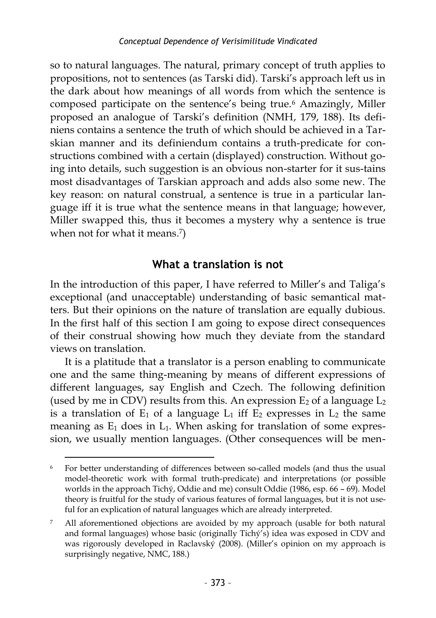so to natural languages. The natural, primary concept of truth applies to propositions, not to sentences (as Tarski did). Tarski's approach left us in the dark about how meanings of all words from which the sentence is composed participate on the sentence's being true.<sup>6</sup> Amazingly, Miller proposed an analogue of Tarski's definition (NMH, 179, 188). Its definiens contains a sentence the truth of which should be achieved in a Tarskian manner and its definiendum contains a truth-predicate for constructions combined with a certain (displayed) construction. Without going into details, such suggestion is an obvious non-starter for it sus-tains most disadvantages of Tarskian approach and adds also some new. The key reason: on natural construal, a sentence is true in a particular language iff it is true what the sentence means in that language; however, Miller swapped this, thus it becomes a mystery why a sentence is true when not for what it means. 7 )

### **What a translation is not**

In the introduction of this paper, I have referred to Miller's and Taliga's exceptional (and unacceptable) understanding of basic semantical matters. But their opinions on the nature of translation are equally dubious. In the first half of this section I am going to expose direct consequences of their construal showing how much they deviate from the standard views on translation.

It is a platitude that a translator is a person enabling to communicate one and the same thing-meaning by means of different expressions of different languages, say English and Czech. The following definition (used by me in CDV) results from this. An expression  $E_2$  of a language  $L_2$ is a translation of  $E_1$  of a language  $L_1$  iff  $E_2$  expresses in  $L_2$  the same meaning as  $E_1$  does in  $L_1$ . When asking for translation of some expression, we usually mention languages. (Other consequences will be men-

<sup>6</sup> For better understanding of differences between so-called models (and thus the usual model-theoretic work with formal truth-predicate) and interpretations (or possible worlds in the approach Tichý, Oddie and me) consult Oddie (1986, esp. 66 – 69). Model theory is fruitful for the study of various features of formal languages, but it is not useful for an explication of natural languages which are already interpreted.

All aforementioned objections are avoided by my approach (usable for both natural and formal languages) whose basic (originally Tichý's) idea was exposed in CDV and was rigorously developed in Raclavský (2008). (Miller's opinion on my approach is surprisingly negative, NMC, 188.)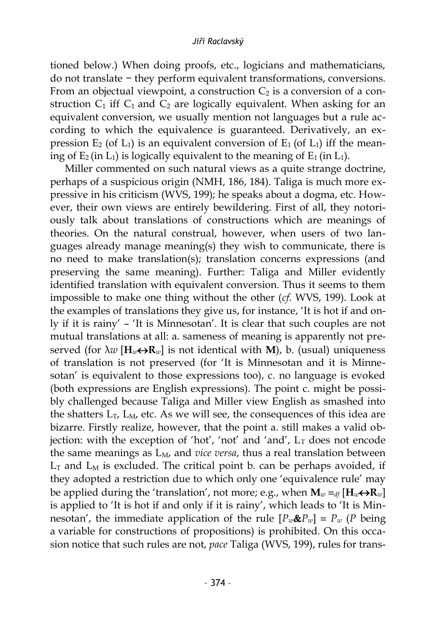tioned below.) When doing proofs, etc., logicians and mathematicians, do not translate − they perform equivalent transformations, conversions. From an objectual viewpoint, a construction  $C_2$  is a conversion of a construction  $C_1$  iff  $C_1$  and  $C_2$  are logically equivalent. When asking for an equivalent conversion, we usually mention not languages but a rule according to which the equivalence is guaranteed. Derivatively, an expression  $E_2$  (of  $L_1$ ) is an equivalent conversion of  $E_1$  (of  $L_1$ ) iff the meaning of  $E_2$  (in  $L_1$ ) is logically equivalent to the meaning of  $E_1$  (in  $L_1$ ).

Miller commented on such natural views as a quite strange doctrine, perhaps of a suspicious origin (NMH, 186, 184). Taliga is much more expressive in his criticism (WVS, 199); he speaks about a dogma, etc. However, their own views are entirely bewildering. First of all, they notoriously talk about translations of constructions which are meanings of theories. On the natural construal, however, when users of two languages already manage meaning(s) they wish to communicate, there is no need to make translation(s); translation concerns expressions (and preserving the same meaning). Further: Taliga and Miller evidently identified translation with equivalent conversion. Thus it seems to them impossible to make one thing without the other (*cf*. WVS, 199). Look at the examples of translations they give us, for instance, 'It is hot if and only if it is rainy' – 'It is Minnesotan'. It is clear that such couples are not mutual translations at all: a. sameness of meaning is apparently not preserved (for  $\lambda w$  [ $\mathbf{H}_w \leftrightarrow \mathbf{R}_w$ ] is not identical with **M**), b. (usual) uniqueness of translation is not preserved (for 'It is Minnesotan and it is Minnesotan' is equivalent to those expressions too), c. no language is evoked (both expressions are English expressions). The point c. might be possibly challenged because Taliga and Miller view English as smashed into the shatters  $L_T$ ,  $L_M$ , etc. As we will see, the consequences of this idea are bizarre. Firstly realize, however, that the point a. still makes a valid objection: with the exception of 'hot', 'not' and 'and',  $L<sub>T</sub>$  does not encode the same meanings as  $L_M$ , and *vice versa*, thus a real translation between  $L_T$  and  $L_M$  is excluded. The critical point b. can be perhaps avoided, if they adopted a restriction due to which only one 'equivalence rule' may be applied during the 'translation', not more; e.g., when  $\mathbf{M}_w \equiv_{df} [\mathbf{H}_w \leftrightarrow \mathbf{R}_w]$ is applied to 'It is hot if and only if it is rainy', which leads to 'It is Minnesotan', the immediate application of the rule  $[P_w \& P_w] \equiv P_w$  (*P* being a variable for constructions of propositions) is prohibited. On this occasion notice that such rules are not, *pace* Taliga (WVS, 199), rules for trans-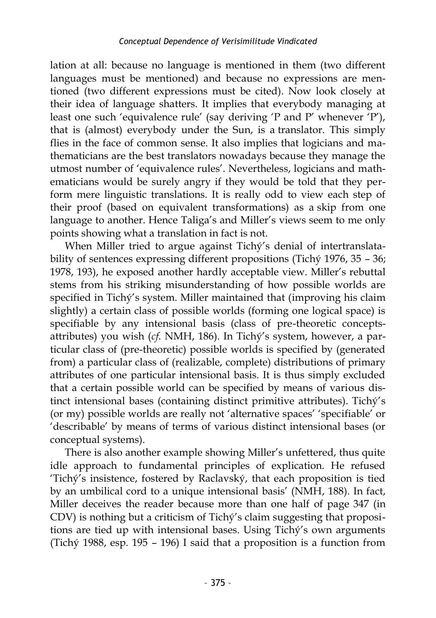lation at all: because no language is mentioned in them (two different languages must be mentioned) and because no expressions are mentioned (two different expressions must be cited). Now look closely at their idea of language shatters. It implies that everybody managing at least one such 'equivalence rule' (say deriving 'P and P' whenever 'P'), that is (almost) everybody under the Sun, is a translator. This simply flies in the face of common sense. It also implies that logicians and mathematicians are the best translators nowadays because they manage the utmost number of 'equivalence rules'. Nevertheless, logicians and mathematicians would be surely angry if they would be told that they perform mere linguistic translations. It is really odd to view each step of their proof (based on equivalent transformations) as a skip from one language to another. Hence Taliga's and Miller's views seem to me only points showing what a translation in fact is not.

When Miller tried to argue against Tichý's denial of intertranslatability of sentences expressing different propositions (Tichý 1976, 35 – 36; 1978, 193), he exposed another hardly acceptable view. Miller's rebuttal stems from his striking misunderstanding of how possible worlds are specified in Tichý's system. Miller maintained that (improving his claim slightly) a certain class of possible worlds (forming one logical space) is specifiable by any intensional basis (class of pre-theoretic conceptsattributes) you wish (*cf*. NMH, 186). In Tichý's system, however, a particular class of (pre-theoretic) possible worlds is specified by (generated from) a particular class of (realizable, complete) distributions of primary attributes of one particular intensional basis. It is thus simply excluded that a certain possible world can be specified by means of various distinct intensional bases (containing distinct primitive attributes). Tichý's (or my) possible worlds are really not 'alternative spaces' 'specifiable' or 'describable' by means of terms of various distinct intensional bases (or conceptual systems).

There is also another example showing Miller's unfettered, thus quite idle approach to fundamental principles of explication. He refused 'Tichý's insistence, fostered by Raclavský, that each proposition is tied by an umbilical cord to a unique intensional basis' (NMH, 188). In fact, Miller deceives the reader because more than one half of page 347 (in CDV) is nothing but a criticism of Tichý's claim suggesting that propositions are tied up with intensional bases. Using Tichý's own arguments (Tichý 1988, esp. 195 – 196) I said that a proposition is a function from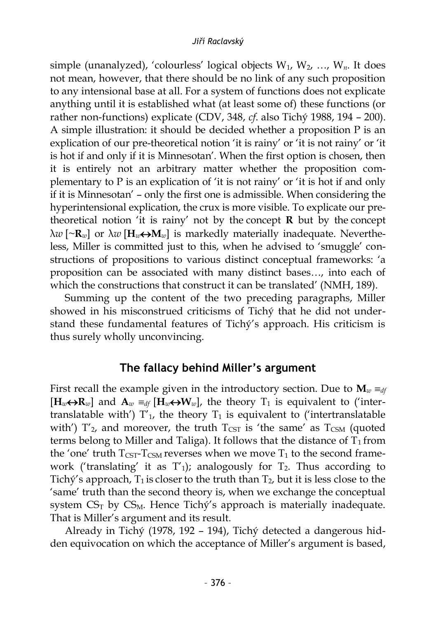simple (unanalyzed), 'colourless' logical objects W1, W2, …, W*n*. It does not mean, however, that there should be no link of any such proposition to any intensional base at all. For a system of functions does not explicate anything until it is established what (at least some of) these functions (or rather non-functions) explicate (CDV, 348, *cf*. also Tichý 1988, 194 – 200). A simple illustration: it should be decided whether a proposition P is an explication of our pre-theoretical notion 'it is rainy' or 'it is not rainy' or 'it is hot if and only if it is Minnesotan'. When the first option is chosen, then it is entirely not an arbitrary matter whether the proposition complementary to P is an explication of 'it is not rainy' or 'it is hot if and only if it is Minnesotan' – only the first one is admissible. When considering the hyperintensional explication, the crux is more visible. To explicate our pretheoretical notion 'it is rainy' not by the concept  $\bf{R}$  but by the concept λ*w* [~**R***w*] or λ*w* [**H***w***M***w*] is markedly materially inadequate. Nevertheless, Miller is committed just to this, when he advised to 'smuggle' constructions of propositions to various distinct conceptual frameworks: 'a proposition can be associated with many distinct bases…, into each of which the constructions that construct it can be translated' (NMH, 189).

Summing up the content of the two preceding paragraphs, Miller showed in his misconstrued criticisms of Tichý that he did not understand these fundamental features of Tichý's approach. His criticism is thus surely wholly unconvincing.

### **The fallacy behind Miller's argument**

First recall the example given in the introductory section. Due to  $\mathbf{M}_w \equiv_{df}$  $[\mathbf{H}_w \leftrightarrow \mathbf{R}_w]$  and  $\mathbf{A}_w =_{df} [\mathbf{H}_w \leftrightarrow \mathbf{W}_w]$ , the theory  $T_1$  is equivalent to ('intertranslatable with')  $T'_1$ , the theory  $T_1$  is equivalent to ('intertranslatable with')  $T'_{2}$ , and moreover, the truth  $T_{\text{CST}}$  is 'the same' as  $T_{\text{CSM}}$  (quoted terms belong to Miller and Taliga). It follows that the distance of  $T_1$  from the 'one' truth  $T_{\text{CST}}$ - $T_{\text{CSM}}$  reverses when we move  $T_1$  to the second framework ('translating' it as  $T'_1$ ); analogously for  $T_2$ . Thus according to Tichý's approach,  $T_1$  is closer to the truth than  $T_2$ , but it is less close to the 'same' truth than the second theory is, when we exchange the conceptual system  $CS_T$  by  $CS_M$ . Hence Tichý's approach is materially inadequate. That is Miller's argument and its result.

Already in Tichý (1978, 192 – 194), Tichý detected a dangerous hidden equivocation on which the acceptance of Miller's argument is based,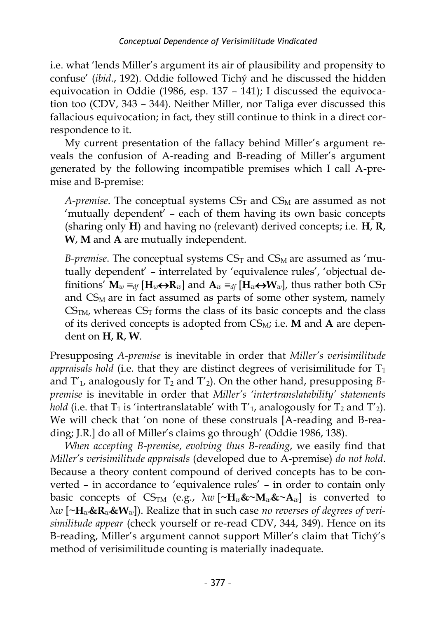i.e. what 'lends Miller's argument its air of plausibility and propensity to confuse' (*ibid*., 192). Oddie followed Tichý and he discussed the hidden equivocation in Oddie (1986, esp. 137 – 141); I discussed the equivocation too (CDV, 343 – 344). Neither Miller, nor Taliga ever discussed this fallacious equivocation; in fact, they still continue to think in a direct correspondence to it.

My current presentation of the fallacy behind Miller's argument reveals the confusion of A-reading and B-reading of Miller's argument generated by the following incompatible premises which I call A-premise and B-premise:

*A-premise*. The conceptual systems  $CS<sub>T</sub>$  and  $CS<sub>M</sub>$  are assumed as not 'mutually dependent' – each of them having its own basic concepts (sharing only **H**) and having no (relevant) derived concepts; i.e. **H**, **R**, **W**, **M** and **A** are mutually independent.

*B-premise*. The conceptual systems  $CS_T$  and  $CS_M$  are assumed as 'mutually dependent' – interrelated by 'equivalence rules', 'objectual definitions'  $\mathbf{M}_w \equiv_{df} [\mathbf{H}_w \leftrightarrow \mathbf{R}_w]$  and  $\mathbf{A}_w \equiv_{df} [\mathbf{H}_w \leftrightarrow \mathbf{W}_w]$ , thus rather both  $CS_T$ and CS<sub>M</sub> are in fact assumed as parts of some other system, namely  $CS<sub>TM</sub>$ , whereas  $CS<sub>T</sub>$  forms the class of its basic concepts and the class of its derived concepts is adopted from CSM; i.e. **M** and **A** are dependent on **H**, **R**, **W**.

Presupposing *A-premise* is inevitable in order that *Miller's verisimilitude appraisals hold* (i.e. that they are distinct degrees of verisimilitude for  $T_1$ and  $T_1$ , analogously for  $T_2$  and  $T_2$ ). On the other hand, presupposing *Bpremise* is inevitable in order that *Miller's 'intertranslatability' statements hold* (i.e. that  $T_1$  is 'intertranslatable' with  $T_1$ , analogously for  $T_2$  and  $T_2$ ). We will check that 'on none of these construals [A-reading and B-reading; J.R.] do all of Miller's claims go through' (Oddie 1986, 138).

*When accepting B-premise*, *evolving thus B-reading*, we easily find that *Miller's verisimilitude appraisals* (developed due to A-premise) *do not hold*. Because a theory content compound of derived concepts has to be converted – in accordance to 'equivalence rules' – in order to contain only basic concepts of  $CS_{TM}$  (e.g.,  $\lambda w \approx \mathbf{H}_w \mathbf{K} \sim \mathbf{M}_w \mathbf{K} \sim \mathbf{A}_w$ ) is converted to λ*w* [**~H***w***&R***w***&W***w*]). Realize that in such case *no reverses of degrees of verisimilitude appear* (check yourself or re-read CDV, 344, 349). Hence on its B-reading, Miller's argument cannot support Miller's claim that Tichý's method of verisimilitude counting is materially inadequate.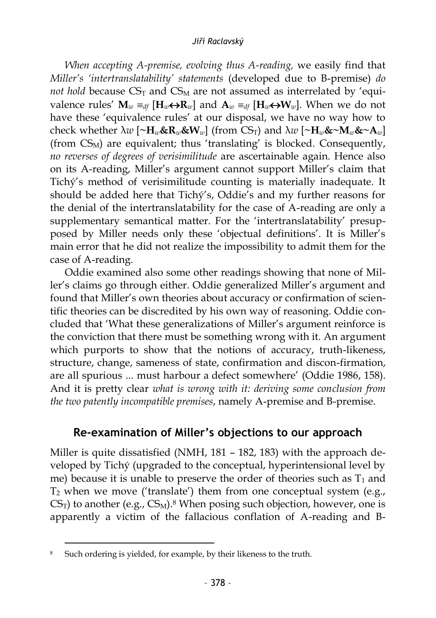*When accepting A-premise, evolving thus A-reading,* we easily find that *Miller's 'intertranslatability' statements* (developed due to B-premise) *do not hold* because  $CS_T$  and  $CS_M$  are not assumed as interrelated by 'equivalence rules'  $\mathbf{M}_w \equiv_{df} [\mathbf{H}_w \leftrightarrow \mathbf{R}_w]$  and  $\mathbf{A}_w \equiv_{df} [\mathbf{H}_w \leftrightarrow \mathbf{W}_w]$ . When we do not have these 'equivalence rules' at our disposal, we have no way how to check whether  $\lambda w$  [ $\sim$ H<sub>*w*</sub>&R<sub>*w*</sub>&W<sub>*w*</sub>] (from CS<sub>T</sub>) and  $\lambda w$  [ $\sim$ H<sub>*w*</sub>& $\sim$ M<sub>*w*</sub>& $\sim$ A<sub>*w*</sub>] (from  $CS_M$ ) are equivalent; thus 'translating' is blocked. Consequently, *no reverses of degrees of verisimilitude* are ascertainable again. Hence also on its A-reading, Miller's argument cannot support Miller's claim that Tichý's method of verisimilitude counting is materially inadequate. It should be added here that Tichý's, Oddie's and my further reasons for the denial of the intertranslatability for the case of A-reading are only a supplementary semantical matter. For the 'intertranslatability' presupposed by Miller needs only these 'objectual definitions'. It is Miller's main error that he did not realize the impossibility to admit them for the case of A-reading.

Oddie examined also some other readings showing that none of Miller's claims go through either. Oddie generalized Miller's argument and found that Miller's own theories about accuracy or confirmation of scientific theories can be discredited by his own way of reasoning. Oddie concluded that 'What these generalizations of Miller's argument reinforce is the conviction that there must be something wrong with it. An argument which purports to show that the notions of accuracy, truth-likeness, structure, change, sameness of state, confirmation and discon-firmation, are all spurious ... must harbour a defect somewhere' (Oddie 1986, 158). And it is pretty clear *what is wrong with it: deriving some conclusion from the two patently incompatible premises*, namely A-premise and B-premise.

### **Re-examination of Miller's objections to our approach**

Miller is quite dissatisfied (NMH, 181 – 182, 183) with the approach developed by Tichý (upgraded to the conceptual, hyperintensional level by me) because it is unable to preserve the order of theories such as  $T_1$  and  $T_2$  when we move ('translate') them from one conceptual system (e.g.,  $CS_T$ ) to another (e.g.,  $CS_M$ ).<sup>8</sup> When posing such objection, however, one is apparently a victim of the fallacious conflation of A-reading and B-

 $\overline{a}$ <sup>8</sup> Such ordering is yielded, for example, by their likeness to the truth.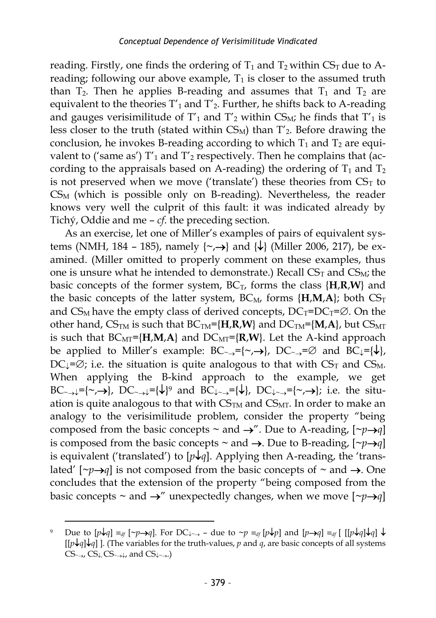reading. Firstly, one finds the ordering of  $T_1$  and  $T_2$  within CS<sub>T</sub> due to Areading; following our above example,  $T_1$  is closer to the assumed truth than  $T_2$ . Then he applies B-reading and assumes that  $T_1$  and  $T_2$  are equivalent to the theories  $T'_1$  and  $T'_2$ . Further, he shifts back to A-reading and gauges verisimilitude of  $T_1$  and  $T_2$  within CS<sub>M</sub>; he finds that  $T_1$  is less closer to the truth (stated within  $CS_M$ ) than  $T'_2$ . Before drawing the conclusion, he invokes B-reading according to which  $T_1$  and  $T_2$  are equivalent to ('same as')  $T'_1$  and  $T'_2$  respectively. Then he complains that (according to the appraisals based on A-reading) the ordering of  $T_1$  and  $T_2$ is not preserved when we move ('translate') these theories from  $CS_T$  to  $CS_M$  (which is possible only on B-reading). Nevertheless, the reader knows very well the culprit of this fault: it was indicated already by Tichý, Oddie and me – *cf*. the preceding section.

As an exercise, let one of Miller's examples of pairs of equivalent systems (NMH, 184 – 185), namely  $\{\sim,\rightarrow\}$  and  $\{\downarrow\}$  (Miller 2006, 217), be examined. (Miller omitted to properly comment on these examples, thus one is unsure what he intended to demonstrate.) Recall  $CS_T$  and  $CS_M$ ; the basic concepts of the former system,  $BC_T$ , forms the class  ${H,R,W}$  and the basic concepts of the latter system,  $BC_M$ , forms  $\{H, M, A\}$ ; both  $CS_T$ and  $CS_M$  have the empty class of derived concepts,  $DC_T=DC_T=\emptyset$ . On the other hand,  $CS_{TM}$  is such that  $BC_{TM} = \{H, R, W\}$  and  $DC_{TM} = \{M, A\}$ , but  $CS_{MT}$ is such that  $BC_{\text{MT}} = \{H, M, A\}$  and  $DC_{\text{MT}} = \{R, W\}$ . Let the A-kind approach be applied to Miller's example:  $BC_{\rightarrow} = \{\sim, \rightarrow\}$ ,  $DC_{\rightarrow} = \emptyset$  and  $BC_{\downarrow} = \{\downarrow\},$ DC<sub>J</sub>= $\varnothing$ ; i.e. the situation is quite analogous to that with CS<sub>T</sub> and CS<sub>M</sub>. When applying the B-kind approach to the example, we get BC<sub>~></sub> $\downarrow$ ={~,->}, DC<sub>~></sub> $\downarrow$ ={ $\downarrow$ }<sup>9</sup> and BC<sub>↓~→</sub>={ $\downarrow$ }, DC<sub>↓~→</sub>={~,->}; i.e. the situation is quite analogous to that with  $CS<sub>TM</sub>$  and  $CS<sub>MT</sub>$ . In order to make an analogy to the verisimilitude problem, consider the property "being composed from the basic concepts  $\sim$  and  $\rightarrow$ ". Due to A-reading,  $[\sim p \rightarrow q]$ is composed from the basic concepts  $\sim$  and  $\rightarrow$ . Due to B-reading,  $[\sim p \rightarrow q]$ is equivalent ('translated') to  $[p \n\downarrow q]$ . Applying then A-reading, the 'translated'  $[\neg p \rightarrow q]$  is not composed from the basic concepts of  $\sim$  and  $\rightarrow$ . One concludes that the extension of the property "being composed from the basic concepts  $\sim$  and  $\rightarrow$ " unexpectedly changes, when we move  $[\sim p \rightarrow q]$ 

Due to  $[p\downarrow q] \equiv_{df} [\sim p \rightarrow q]$ . For DC<sub> $\downarrow \rightarrow$ </sub> – due to  $\sim p \equiv_{df} [p\downarrow p]$  and  $[p \rightarrow q] \equiv_{df} [[(p\downarrow q]\downarrow q] \downarrow$  $[[p \downarrow q] \downarrow q]$  ]. (The variables for the truth-values, *p* and *q*, are basic concepts of all systems  $CS_{\rightarrow}$ ,  $CS_{\downarrow}$ ,  $CS_{\rightarrow\downarrow}$ , and  $CS_{\downarrow\rightarrow}$ .)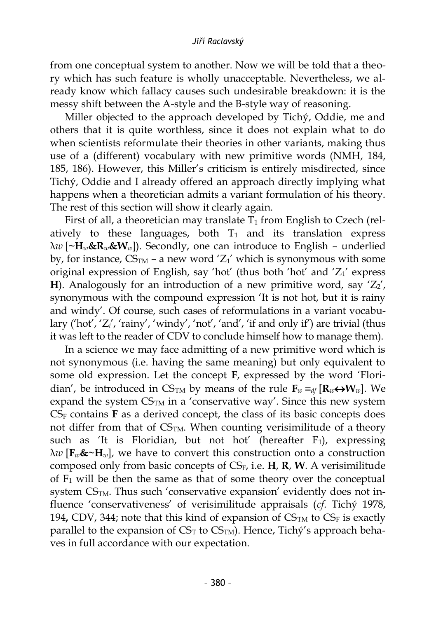from one conceptual system to another. Now we will be told that a theory which has such feature is wholly unacceptable. Nevertheless, we already know which fallacy causes such undesirable breakdown: it is the messy shift between the A-style and the B-style way of reasoning.

Miller objected to the approach developed by Tichý, Oddie, me and others that it is quite worthless, since it does not explain what to do when scientists reformulate their theories in other variants, making thus use of a (different) vocabulary with new primitive words (NMH, 184, 185, 186). However, this Miller's criticism is entirely misdirected, since Tichý, Oddie and I already offered an approach directly implying what happens when a theoretician admits a variant formulation of his theory. The rest of this section will show it clearly again.

First of all, a theoretician may translate  $T_1$  from English to Czech (relatively to these languages, both  $T_1$  and its translation express  $\lambda w$  [ $\sim$ **H**<sub>*w*</sub>&**R**<sub>*w*</sub>&**W**<sub>*w*</sub>]). Secondly, one can introduce to English – underlied by, for instance,  $CS<sub>TM</sub>$  – a new word 'Z<sub>1</sub>' which is synonymous with some original expression of English, say 'hot' (thus both 'hot' and  $Z_1$ ' express **H**). Analogously for an introduction of a new primitive word, say  $Z_2$ , synonymous with the compound expression 'It is not hot, but it is rainy and windy'. Of course, such cases of reformulations in a variant vocabulary ('hot', 'Z', 'rainy', 'windy', 'not', 'and', 'if and only if') are trivial (thus it was left to the reader of CDV to conclude himself how to manage them).

In a science we may face admitting of a new primitive word which is not synonymous (i.e. having the same meaning) but only equivalent to some old expression. Let the concept **F**, expressed by the word 'Floridian', be introduced in  $CS_{TM}$  by means of the rule  $\mathbf{F}_w \equiv_{df} [\mathbf{R}_w \leftrightarrow \mathbf{W}_w]$ . We expand the system  $CS<sub>TM</sub>$  in a 'conservative way'. Since this new system  $CS_F$  contains  $\bf{F}$  as a derived concept, the class of its basic concepts does not differ from that of  $CS<sub>TM</sub>$ . When counting verisimilitude of a theory such as 'It is Floridian, but not hot' (hereafter  $F_1$ ), expressing  $\lambda w$  [ $\mathbf{F}_w \mathbf{\&} \sim \mathbf{H}_w$ ], we have to convert this construction onto a construction composed only from basic concepts of CSF, i.e. **H**, **R**, **W**. A verisimilitude of  $F_1$  will be then the same as that of some theory over the conceptual system  $CS<sub>TM</sub>$ . Thus such 'conservative expansion' evidently does not influence 'conservativeness' of verisimilitude appraisals (*cf*. Tichý 1978, 194, CDV, 344; note that this kind of expansion of  $CS<sub>TM</sub>$  to  $CS<sub>F</sub>$  is exactly parallel to the expansion of  $CS<sub>T</sub>$  to  $CS<sub>TM</sub>$ ). Hence, Tichý's approach behaves in full accordance with our expectation.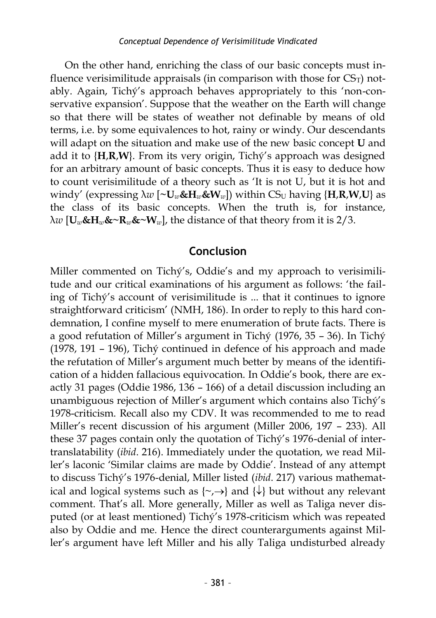On the other hand, enriching the class of our basic concepts must influence verisimilitude appraisals (in comparison with those for  $CS_T$ ) notably. Again, Tichý's approach behaves appropriately to this 'non-conservative expansion'. Suppose that the weather on the Earth will change so that there will be states of weather not definable by means of old terms, i.e. by some equivalences to hot, rainy or windy. Our descendants will adapt on the situation and make use of the new basic concept **U** and add it to {**H**,**R**,**W**}. From its very origin, Tichý's approach was designed for an arbitrary amount of basic concepts. Thus it is easy to deduce how to count verisimilitude of a theory such as 'It is not U, but it is hot and windy' (expressing  $\lambda w$  [~U<sub>*w*</sub>&H<sub>*w*</sub>&W<sub>*w*</sub>]) within CS<sub>U</sub> having {H<sub>*,R*</sub>,W<sub>,</sub>U} as the class of its basic concepts. When the truth is, for instance, λ*w* [**U***w***&H***w***&~R***w***&~W***w*], the distance of that theory from it is 2/3.

### **Conclusion**

Miller commented on Tichý's, Oddie's and my approach to verisimilitude and our critical examinations of his argument as follows: 'the failing of Tichý's account of verisimilitude is ... that it continues to ignore straightforward criticism' (NMH, 186). In order to reply to this hard condemnation, I confine myself to mere enumeration of brute facts. There is a good refutation of Miller's argument in Tichý (1976, 35 – 36). In Tichý (1978, 191 – 196), Tichý continued in defence of his approach and made the refutation of Miller's argument much better by means of the identification of a hidden fallacious equivocation. In Oddie's book, there are exactly 31 pages (Oddie 1986, 136 – 166) of a detail discussion including an unambiguous rejection of Miller's argument which contains also Tichý's 1978-criticism. Recall also my CDV. It was recommended to me to read Miller's recent discussion of his argument (Miller 2006, 197 – 233). All these 37 pages contain only the quotation of Tichý's 1976-denial of intertranslatability (*ibid*. 216). Immediately under the quotation, we read Miller's laconic 'Similar claims are made by Oddie'. Instead of any attempt to discuss Tichý's 1976-denial, Miller listed (*ibid*. 217) various mathematical and logical systems such as  $\{\neg, \rightarrow\}$  and  $\{\downarrow\}$  but without any relevant comment. That's all. More generally, Miller as well as Taliga never disputed (or at least mentioned) Tichý's 1978-criticism which was repeated also by Oddie and me. Hence the direct counterarguments against Miller's argument have left Miller and his ally Taliga undisturbed already